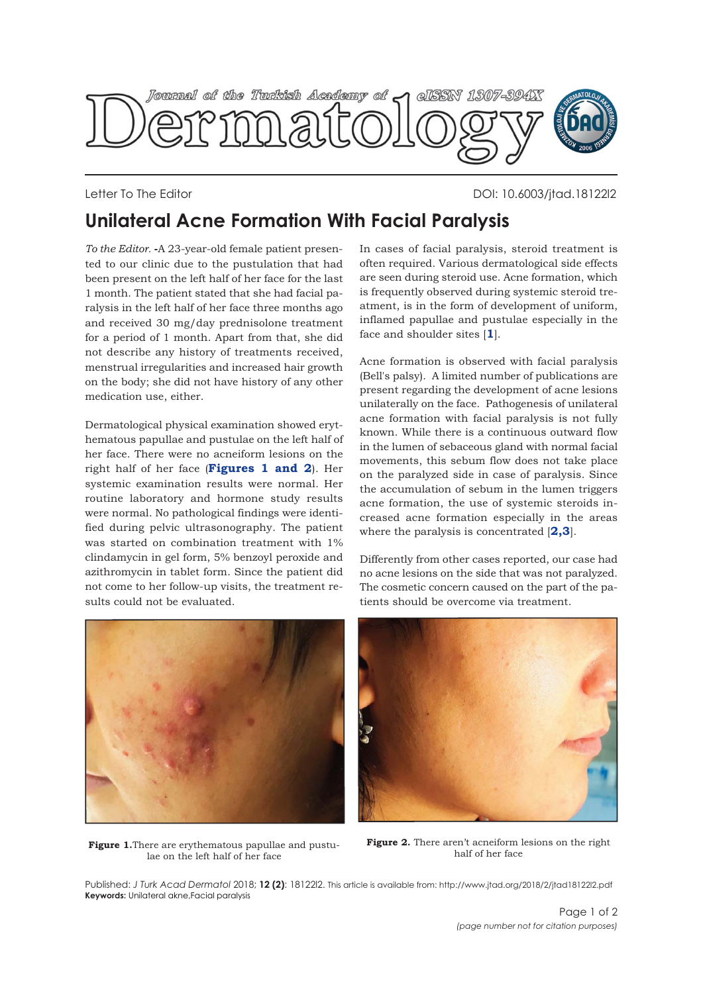

Letter To The Editor DOI: 10.6003/jtad.18122l2

## **Unilateral Acne Formation With Facial Paralysis**

*To the Editor.* **-**A 23-year-old female patient presented to our clinic due to the pustulation that had been present on the left half of her face for the last 1 month. The patient stated that she had facial paralysis in the left half of her face three months ago and received 30 mg/day prednisolone treatment for a period of 1 month. Apart from that, she did not describe any history of treatments received, menstrual irregularities and increased hair growth on the body; she did not have history of any other medication use, either.

Dermatological physical examination showed erythematous papullae and pustulae on the left half of her face. There were no acneiform lesions on the right half of her face (**Figures 1 and 2**). Her systemic examination results were normal. Her routine laboratory and hormone study results were normal. No pathological findings were identified during pelvic ultrasonography. The patient was started on combination treatment with 1% clindamycin in gel form, 5% benzoyl peroxide and azithromycin in tablet form. Since the patient did not come to her follow-up visits, the treatment results could not be evaluated.

In cases of facial paralysis, steroid treatment is often required. Various dermatological side effects are seen during steroid use. Acne formation, which is frequently observed during systemic steroid treatment, is in the form of development of uniform, inflamed papullae and pustulae especially in the face and shoulder sites [**[1](#page-1-0)**].

Acne formation is observed with facial paralysis (Bell's palsy). A limited number of publications are present regarding the development of acne lesions unilaterally on the face. Pathogenesis of unilateral acne formation with facial paralysis is not fully known. While there is a continuous outward flow in the lumen of sebaceous gland with normal facial movements, this sebum flow does not take place on the paralyzed side in case of paralysis. Since the accumulation of sebum in the lumen triggers acne formation, the use of systemic steroids increased acne formation especially in the areas where the paralysis is concentrated [**[2,3](#page-1-0)**].

Differently from other cases reported, our case had no acne lesions on the side that was not paralyzed. The cosmetic concern caused on the part of the patients should be overcome via treatment.





**Figure 1.**There are erythematous papullae and pustulae on the left half of her face

Figure 2. There aren't acneiform lesions on the right half of her face

Published: *J Turk Acad Dermatol* 2018; **12 (2)**: 18122l2. This article is available from: http://www.jtad.org/2018/2/jtad18122l2.pdf **Keywords:** Unilateral akne,Facial paralysis